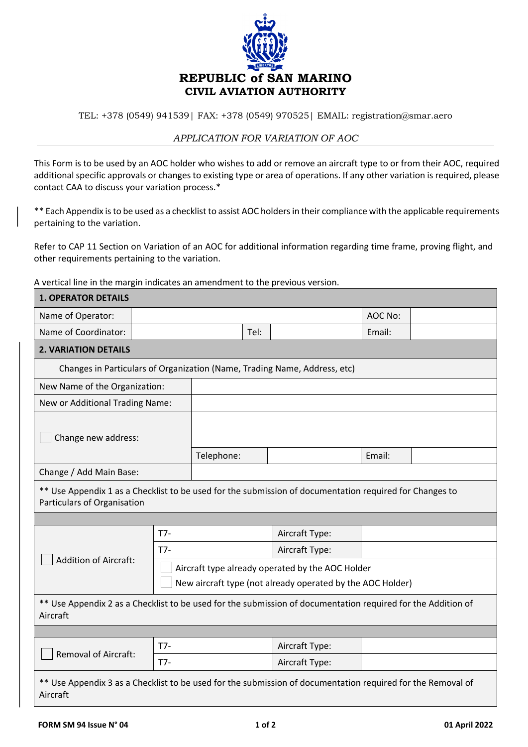

TEL: +378 (0549) 941539| FAX: +378 (0549) 970525| EMAIL: registration@smar.aero

## *APPLICATION FOR VARIATION OF AOC*

This Form is to be used by an AOC holder who wishes to add or remove an aircraft type to or from their AOC, required additional specific approvals or changes to existing type or area of operations. If any other variation is required, please contact CAA to discuss your variation process.\*

\*\* Each Appendix is to be used as a checklist to assist AOC holders in their compliance with the applicable requirements pertaining to the variation.

Refer to CAP 11 Section on Variation of an AOC for additional information regarding time frame, proving flight, and other requirements pertaining to the variation.

A vertical line in the margin indicates an amendment to the previous version.

| <b>1. OPERATOR DETAILS</b>                                                                                                             |       |                                                                                                                |  |                                                                           |         |  |
|----------------------------------------------------------------------------------------------------------------------------------------|-------|----------------------------------------------------------------------------------------------------------------|--|---------------------------------------------------------------------------|---------|--|
| Name of Operator:                                                                                                                      |       |                                                                                                                |  |                                                                           | AOC No: |  |
| Name of Coordinator:<br>Tel:                                                                                                           |       |                                                                                                                |  | Email:                                                                    |         |  |
| <b>2. VARIATION DETAILS</b>                                                                                                            |       |                                                                                                                |  |                                                                           |         |  |
|                                                                                                                                        |       |                                                                                                                |  | Changes in Particulars of Organization (Name, Trading Name, Address, etc) |         |  |
| New Name of the Organization:                                                                                                          |       |                                                                                                                |  |                                                                           |         |  |
| New or Additional Trading Name:                                                                                                        |       |                                                                                                                |  |                                                                           |         |  |
| Change new address:<br>Telephone:<br>Email:                                                                                            |       |                                                                                                                |  |                                                                           |         |  |
| Change / Add Main Base:                                                                                                                |       |                                                                                                                |  |                                                                           |         |  |
| ** Use Appendix 1 as a Checklist to be used for the submission of documentation required for Changes to<br>Particulars of Organisation |       |                                                                                                                |  |                                                                           |         |  |
|                                                                                                                                        | $T7-$ |                                                                                                                |  | Aircraft Type:                                                            |         |  |
|                                                                                                                                        | T7-   |                                                                                                                |  | Aircraft Type:                                                            |         |  |
| <b>Addition of Aircraft:</b>                                                                                                           |       | Aircraft type already operated by the AOC Holder<br>New aircraft type (not already operated by the AOC Holder) |  |                                                                           |         |  |
| ** Use Appendix 2 as a Checklist to be used for the submission of documentation required for the Addition of<br>Aircraft               |       |                                                                                                                |  |                                                                           |         |  |
|                                                                                                                                        |       |                                                                                                                |  |                                                                           |         |  |
| <b>Removal of Aircraft:</b>                                                                                                            | $T7-$ |                                                                                                                |  | Aircraft Type:                                                            |         |  |
|                                                                                                                                        | $T7-$ |                                                                                                                |  | Aircraft Type:                                                            |         |  |
| ** Use Appendix 3 as a Checklist to be used for the submission of documentation required for the Removal of<br>Aircraft                |       |                                                                                                                |  |                                                                           |         |  |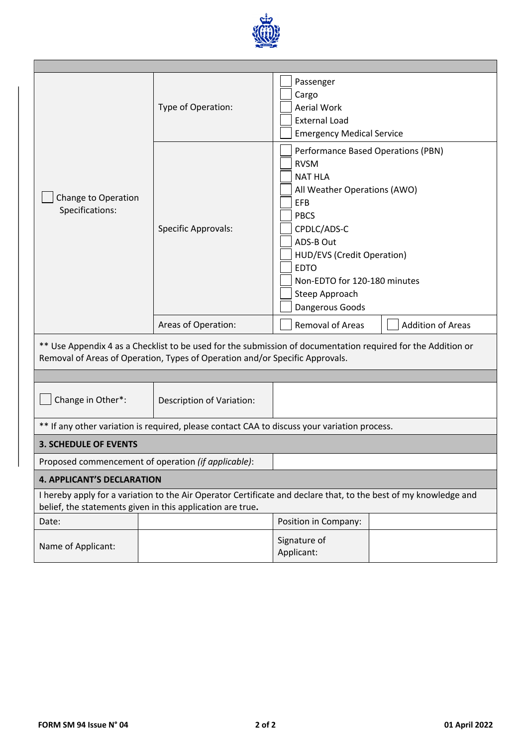

|                                                                                                                                                                                | Type of Operation:                                                           | Passenger<br>Cargo<br><b>Aerial Work</b><br><b>External Load</b><br><b>Emergency Medical Service</b>                                                                                                                                                                    |  |  |  |  |  |
|--------------------------------------------------------------------------------------------------------------------------------------------------------------------------------|------------------------------------------------------------------------------|-------------------------------------------------------------------------------------------------------------------------------------------------------------------------------------------------------------------------------------------------------------------------|--|--|--|--|--|
| Change to Operation<br>Specifications:                                                                                                                                         | <b>Specific Approvals:</b>                                                   | Performance Based Operations (PBN)<br><b>RVSM</b><br><b>NAT HLA</b><br>All Weather Operations (AWO)<br>EFB<br><b>PBCS</b><br>CPDLC/ADS-C<br>ADS-B Out<br>HUD/EVS (Credit Operation)<br><b>EDTO</b><br>Non-EDTO for 120-180 minutes<br>Steep Approach<br>Dangerous Goods |  |  |  |  |  |
|                                                                                                                                                                                | Areas of Operation:                                                          | Removal of Areas<br><b>Addition of Areas</b>                                                                                                                                                                                                                            |  |  |  |  |  |
|                                                                                                                                                                                | Removal of Areas of Operation, Types of Operation and/or Specific Approvals. | ** Use Appendix 4 as a Checklist to be used for the submission of documentation required for the Addition or                                                                                                                                                            |  |  |  |  |  |
|                                                                                                                                                                                |                                                                              |                                                                                                                                                                                                                                                                         |  |  |  |  |  |
| Change in Other*:                                                                                                                                                              | Description of Variation:                                                    |                                                                                                                                                                                                                                                                         |  |  |  |  |  |
|                                                                                                                                                                                |                                                                              | ** If any other variation is required, please contact CAA to discuss your variation process.                                                                                                                                                                            |  |  |  |  |  |
| <b>3. SCHEDULE OF EVENTS</b>                                                                                                                                                   |                                                                              |                                                                                                                                                                                                                                                                         |  |  |  |  |  |
| Proposed commencement of operation (if applicable):                                                                                                                            |                                                                              |                                                                                                                                                                                                                                                                         |  |  |  |  |  |
| <b>4. APPLICANT'S DECLARATION</b>                                                                                                                                              |                                                                              |                                                                                                                                                                                                                                                                         |  |  |  |  |  |
| I hereby apply for a variation to the Air Operator Certificate and declare that, to the best of my knowledge and<br>belief, the statements given in this application are true. |                                                                              |                                                                                                                                                                                                                                                                         |  |  |  |  |  |
| Date:                                                                                                                                                                          |                                                                              | Position in Company:                                                                                                                                                                                                                                                    |  |  |  |  |  |
| Name of Applicant:                                                                                                                                                             |                                                                              | Signature of<br>Applicant:                                                                                                                                                                                                                                              |  |  |  |  |  |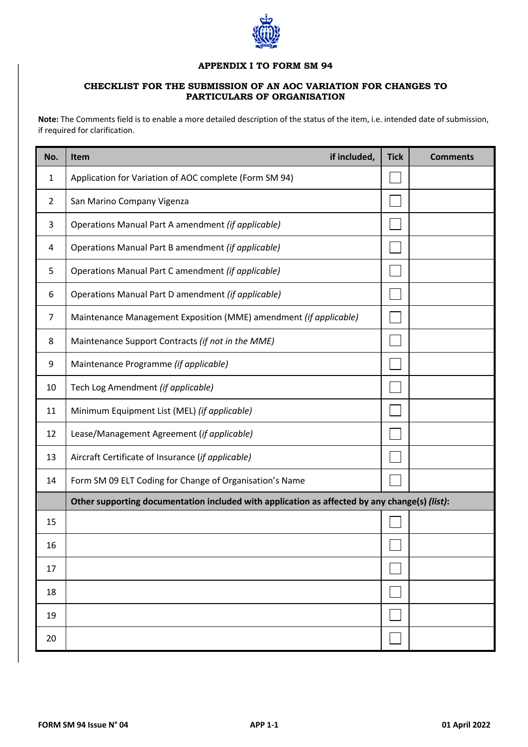

## **APPENDIX I TO FORM SM 94**

## **CHECKLIST FOR THE SUBMISSION OF AN AOC VARIATION FOR CHANGES TO PARTICULARS OF ORGANISATION**

**Note:** The Comments field is to enable a more detailed description of the status of the item, i.e. intended date of submission, if required for clarification.

| No.            | if included,<br><b>Item</b>                                                                   | <b>Tick</b> | <b>Comments</b> |  |  |
|----------------|-----------------------------------------------------------------------------------------------|-------------|-----------------|--|--|
| 1              | Application for Variation of AOC complete (Form SM 94)                                        |             |                 |  |  |
| $\overline{2}$ | San Marino Company Vigenza                                                                    |             |                 |  |  |
| 3              | Operations Manual Part A amendment (if applicable)                                            |             |                 |  |  |
| 4              | Operations Manual Part B amendment (if applicable)                                            |             |                 |  |  |
| 5              | Operations Manual Part C amendment (if applicable)                                            |             |                 |  |  |
| 6              | Operations Manual Part D amendment (if applicable)                                            |             |                 |  |  |
| 7              | Maintenance Management Exposition (MME) amendment (if applicable)                             |             |                 |  |  |
| 8              | Maintenance Support Contracts (if not in the MME)                                             |             |                 |  |  |
| 9              | Maintenance Programme (if applicable)                                                         |             |                 |  |  |
| 10             | Tech Log Amendment (if applicable)                                                            |             |                 |  |  |
| 11             | Minimum Equipment List (MEL) (if applicable)                                                  |             |                 |  |  |
| 12             | Lease/Management Agreement (if applicable)                                                    |             |                 |  |  |
| 13             | Aircraft Certificate of Insurance (if applicable)                                             |             |                 |  |  |
| 14             | Form SM 09 ELT Coding for Change of Organisation's Name                                       |             |                 |  |  |
|                | Other supporting documentation included with application as affected by any change(s) (list): |             |                 |  |  |
| 15             |                                                                                               |             |                 |  |  |
| 16             |                                                                                               |             |                 |  |  |
| 17             |                                                                                               |             |                 |  |  |
| 18             |                                                                                               |             |                 |  |  |
| 19             |                                                                                               |             |                 |  |  |
| 20             |                                                                                               |             |                 |  |  |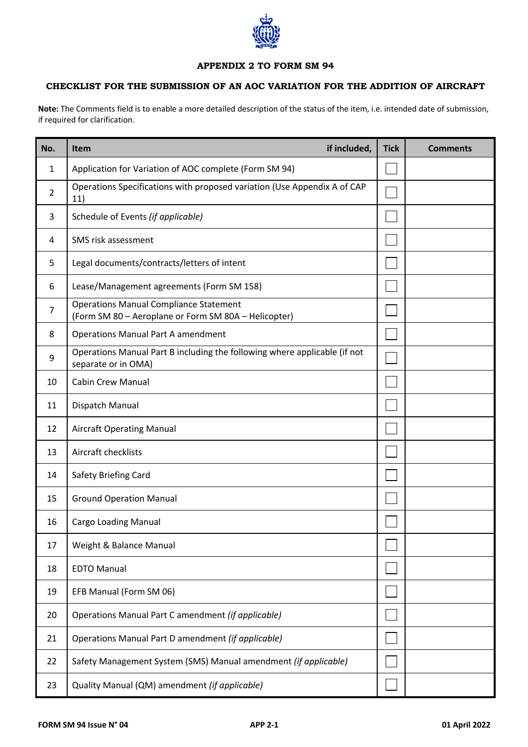

## **APPENDIX 2 TO FORM SM 94**

## **CHECKLIST FOR THE SUBMISSION OF AN AOC VARIATION FOR THE ADDITION OF AIRCRAFT**

**Note:** The Comments field is to enable a more detailed description of the status of the item, i.e. intended date of submission, if required for clarification.

| No.            | if included,<br><b>Item</b>                                                                           | <b>Tick</b> | <b>Comments</b> |
|----------------|-------------------------------------------------------------------------------------------------------|-------------|-----------------|
| 1              | Application for Variation of AOC complete (Form SM 94)                                                |             |                 |
| $\overline{2}$ | Operations Specifications with proposed variation (Use Appendix A of CAP<br>11)                       |             |                 |
| 3              | Schedule of Events (if applicable)                                                                    |             |                 |
| 4              | SMS risk assessment                                                                                   |             |                 |
| 5              | Legal documents/contracts/letters of intent                                                           |             |                 |
| 6              | Lease/Management agreements (Form SM 158)                                                             |             |                 |
| 7              | <b>Operations Manual Compliance Statement</b><br>(Form SM 80 - Aeroplane or Form SM 80A - Helicopter) |             |                 |
| 8              | <b>Operations Manual Part A amendment</b>                                                             |             |                 |
| 9              | Operations Manual Part B including the following where applicable (if not<br>separate or in OMA)      |             |                 |
| 10             | <b>Cabin Crew Manual</b>                                                                              |             |                 |
| 11             | Dispatch Manual                                                                                       |             |                 |
| 12             | <b>Aircraft Operating Manual</b>                                                                      |             |                 |
| 13             | Aircraft checklists                                                                                   |             |                 |
| 14             | Safety Briefing Card                                                                                  |             |                 |
| 15             | <b>Ground Operation Manual</b>                                                                        |             |                 |
| 16             | Cargo Loading Manual                                                                                  |             |                 |
| 17             | Weight & Balance Manual                                                                               |             |                 |
| 18             | <b>EDTO Manual</b>                                                                                    |             |                 |
| 19             | EFB Manual (Form SM 06)                                                                               |             |                 |
| 20             | Operations Manual Part C amendment (if applicable)                                                    |             |                 |
| 21             | Operations Manual Part D amendment (if applicable)                                                    |             |                 |
| 22             | Safety Management System (SMS) Manual amendment (if applicable)                                       |             |                 |
| 23             | Quality Manual (QM) amendment (if applicable)                                                         |             |                 |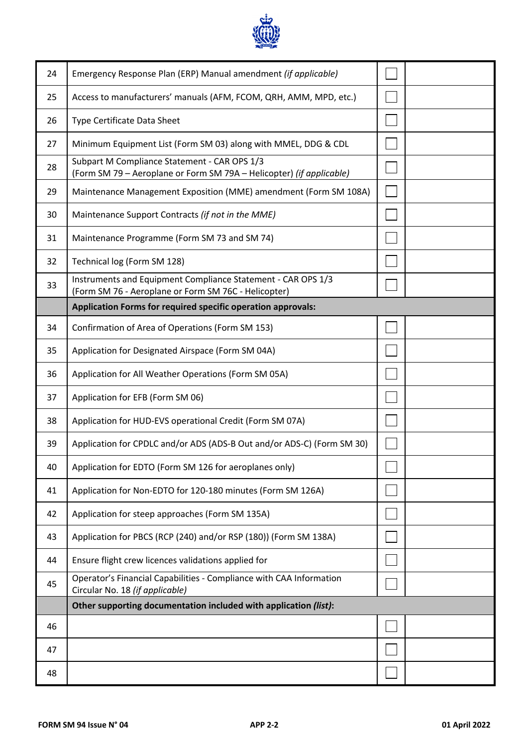

| 24 | Emergency Response Plan (ERP) Manual amendment (if applicable)                                                       |  |
|----|----------------------------------------------------------------------------------------------------------------------|--|
| 25 | Access to manufacturers' manuals (AFM, FCOM, QRH, AMM, MPD, etc.)                                                    |  |
| 26 | <b>Type Certificate Data Sheet</b>                                                                                   |  |
| 27 | Minimum Equipment List (Form SM 03) along with MMEL, DDG & CDL                                                       |  |
| 28 | Subpart M Compliance Statement - CAR OPS 1/3<br>(Form SM 79 - Aeroplane or Form SM 79A - Helicopter) (if applicable) |  |
| 29 | Maintenance Management Exposition (MME) amendment (Form SM 108A)                                                     |  |
| 30 | Maintenance Support Contracts (if not in the MME)                                                                    |  |
| 31 | Maintenance Programme (Form SM 73 and SM 74)                                                                         |  |
| 32 | Technical log (Form SM 128)                                                                                          |  |
| 33 | Instruments and Equipment Compliance Statement - CAR OPS 1/3<br>(Form SM 76 - Aeroplane or Form SM 76C - Helicopter) |  |
|    | Application Forms for required specific operation approvals:                                                         |  |
| 34 | Confirmation of Area of Operations (Form SM 153)                                                                     |  |
| 35 | Application for Designated Airspace (Form SM 04A)                                                                    |  |
| 36 | Application for All Weather Operations (Form SM 05A)                                                                 |  |
| 37 | Application for EFB (Form SM 06)                                                                                     |  |
| 38 | Application for HUD-EVS operational Credit (Form SM 07A)                                                             |  |
| 39 | Application for CPDLC and/or ADS (ADS-B Out and/or ADS-C) (Form SM 30)                                               |  |
| 40 | Application for EDTO (Form SM 126 for aeroplanes only)                                                               |  |
| 41 | Application for Non-EDTO for 120-180 minutes (Form SM 126A)                                                          |  |
| 42 | Application for steep approaches (Form SM 135A)                                                                      |  |
| 43 | Application for PBCS (RCP (240) and/or RSP (180)) (Form SM 138A)                                                     |  |
| 44 | Ensure flight crew licences validations applied for                                                                  |  |
| 45 | Operator's Financial Capabilities - Compliance with CAA Information<br>Circular No. 18 (if applicable)               |  |
|    | Other supporting documentation included with application (list):                                                     |  |
| 46 |                                                                                                                      |  |
|    |                                                                                                                      |  |
| 47 |                                                                                                                      |  |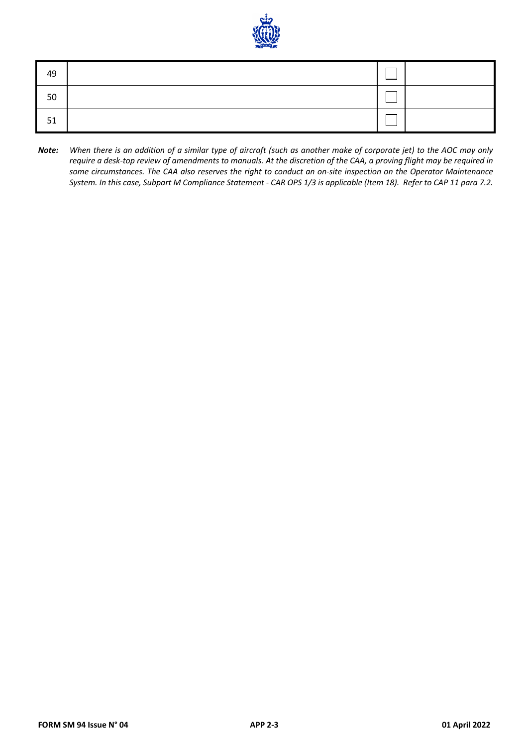

| 49 |  |  |
|----|--|--|
| 50 |  |  |
| 51 |  |  |

*Note: When there is an addition of a similar type of aircraft (such as another make of corporate jet) to the AOC may only require a desk-top review of amendments to manuals. At the discretion of the CAA, a proving flight may be required in some circumstances. The CAA also reserves the right to conduct an on-site inspection on the Operator Maintenance System. In this case, Subpart M Compliance Statement - CAR OPS 1/3 is applicable (Item 18). Refer to CAP 11 para 7.2.*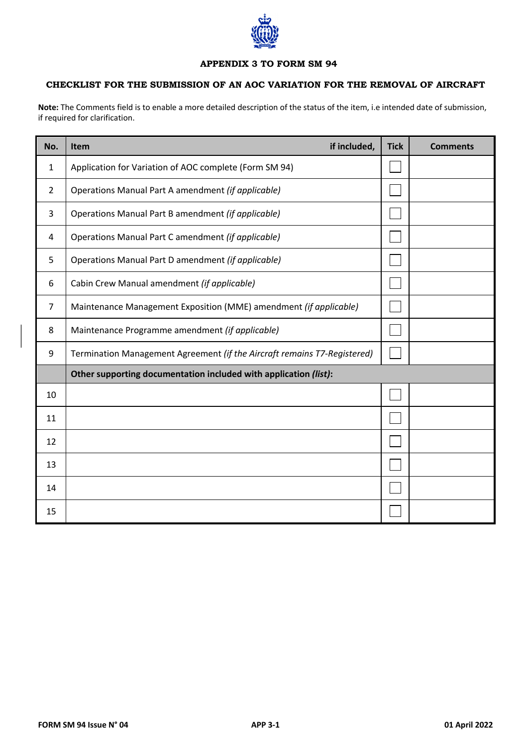

# **APPENDIX 3 TO FORM SM 94**

## **CHECKLIST FOR THE SUBMISSION OF AN AOC VARIATION FOR THE REMOVAL OF AIRCRAFT**

**Note:** The Comments field is to enable a more detailed description of the status of the item, i.e intended date of submission, if required for clarification.

| No.            | if included,<br>Item                                                     | <b>Tick</b> | <b>Comments</b> |
|----------------|--------------------------------------------------------------------------|-------------|-----------------|
| 1              | Application for Variation of AOC complete (Form SM 94)                   |             |                 |
| $\overline{2}$ | Operations Manual Part A amendment (if applicable)                       |             |                 |
| 3              | Operations Manual Part B amendment (if applicable)                       |             |                 |
| 4              | Operations Manual Part C amendment (if applicable)                       |             |                 |
| 5              | Operations Manual Part D amendment (if applicable)                       |             |                 |
| 6              | Cabin Crew Manual amendment (if applicable)                              |             |                 |
| 7              | Maintenance Management Exposition (MME) amendment (if applicable)        |             |                 |
| 8              | Maintenance Programme amendment (if applicable)                          |             |                 |
| 9              | Termination Management Agreement (if the Aircraft remains T7-Registered) |             |                 |
|                | Other supporting documentation included with application (list):         |             |                 |
| 10             |                                                                          |             |                 |
| 11             |                                                                          |             |                 |
| 12             |                                                                          |             |                 |
| 13             |                                                                          |             |                 |
| 14             |                                                                          |             |                 |
| 15             |                                                                          |             |                 |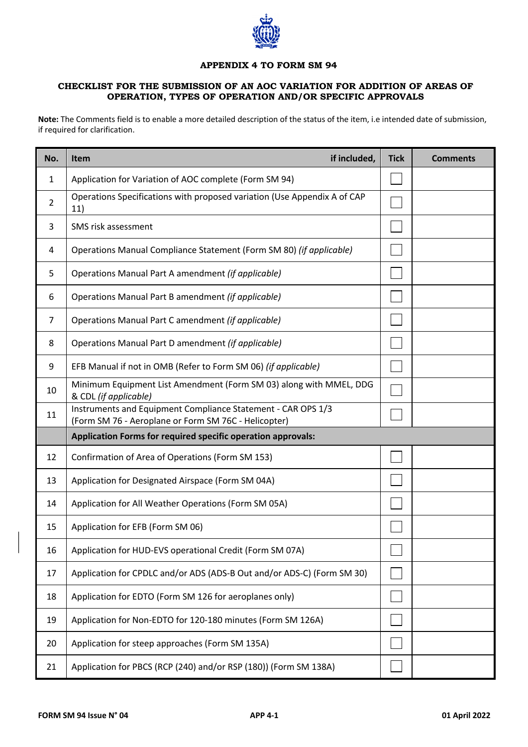

#### **APPENDIX 4 TO FORM SM 94**

## **CHECKLIST FOR THE SUBMISSION OF AN AOC VARIATION FOR ADDITION OF AREAS OF OPERATION, TYPES OF OPERATION AND/OR SPECIFIC APPROVALS**

**Note:** The Comments field is to enable a more detailed description of the status of the item, i.e intended date of submission, if required for clarification.

| No. | if included,<br><b>Item</b>                                                                                          | <b>Tick</b> | <b>Comments</b> |  |  |
|-----|----------------------------------------------------------------------------------------------------------------------|-------------|-----------------|--|--|
| 1   | Application for Variation of AOC complete (Form SM 94)                                                               |             |                 |  |  |
| 2   | Operations Specifications with proposed variation (Use Appendix A of CAP<br>11)                                      |             |                 |  |  |
| 3   | SMS risk assessment                                                                                                  |             |                 |  |  |
| 4   | Operations Manual Compliance Statement (Form SM 80) (if applicable)                                                  |             |                 |  |  |
| 5   | Operations Manual Part A amendment (if applicable)                                                                   |             |                 |  |  |
| 6   | Operations Manual Part B amendment (if applicable)                                                                   |             |                 |  |  |
| 7   | Operations Manual Part C amendment (if applicable)                                                                   |             |                 |  |  |
| 8   | Operations Manual Part D amendment (if applicable)                                                                   |             |                 |  |  |
| 9   | EFB Manual if not in OMB (Refer to Form SM 06) (if applicable)                                                       |             |                 |  |  |
| 10  | Minimum Equipment List Amendment (Form SM 03) along with MMEL, DDG<br>& CDL (if applicable)                          |             |                 |  |  |
| 11  | Instruments and Equipment Compliance Statement - CAR OPS 1/3<br>(Form SM 76 - Aeroplane or Form SM 76C - Helicopter) |             |                 |  |  |
|     | Application Forms for required specific operation approvals:                                                         |             |                 |  |  |
| 12  | Confirmation of Area of Operations (Form SM 153)                                                                     |             |                 |  |  |
| 13  | Application for Designated Airspace (Form SM 04A)                                                                    |             |                 |  |  |
| 14  | Application for All Weather Operations (Form SM 05A)                                                                 |             |                 |  |  |
| 15  | Application for EFB (Form SM 06)                                                                                     |             |                 |  |  |
| 16  | Application for HUD-EVS operational Credit (Form SM 07A)                                                             |             |                 |  |  |
| 17  | Application for CPDLC and/or ADS (ADS-B Out and/or ADS-C) (Form SM 30)                                               |             |                 |  |  |
| 18  | Application for EDTO (Form SM 126 for aeroplanes only)                                                               |             |                 |  |  |
| 19  | Application for Non-EDTO for 120-180 minutes (Form SM 126A)                                                          |             |                 |  |  |
| 20  | Application for steep approaches (Form SM 135A)                                                                      |             |                 |  |  |
| 21  | Application for PBCS (RCP (240) and/or RSP (180)) (Form SM 138A)                                                     |             |                 |  |  |